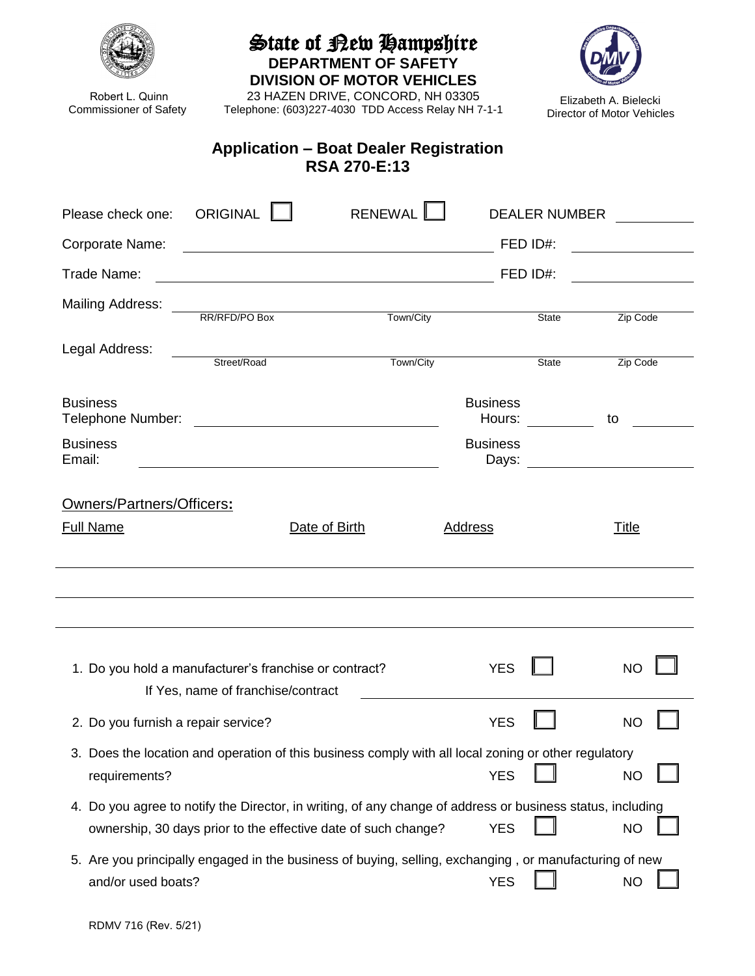| Robert L. Quinn<br><b>Commissioner of Safety</b>                                                                                                                                                 | Telephone: (603)227-4030 TDD Access Relay NH 7-1-1                                                     | State of Bew Hampshire<br><b>DEPARTMENT OF SAFETY</b><br><b>DIVISION OF MOTOR VEHICLES</b><br>23 HAZEN DRIVE, CONCORD, NH 03305 |                           |                      | Elizabeth A. Bielecki<br>Director of Motor Vehicles                                                                  |  |  |
|--------------------------------------------------------------------------------------------------------------------------------------------------------------------------------------------------|--------------------------------------------------------------------------------------------------------|---------------------------------------------------------------------------------------------------------------------------------|---------------------------|----------------------|----------------------------------------------------------------------------------------------------------------------|--|--|
| <b>Application – Boat Dealer Registration</b><br><b>RSA 270-E:13</b>                                                                                                                             |                                                                                                        |                                                                                                                                 |                           |                      |                                                                                                                      |  |  |
| Please check one:                                                                                                                                                                                | ORIGINAL <b>I</b>                                                                                      | RENEWAL <sup>L</sup>                                                                                                            |                           | <b>DEALER NUMBER</b> |                                                                                                                      |  |  |
| Corporate Name:                                                                                                                                                                                  |                                                                                                        | FED ID#:<br><u> 1989 - Johann Barn, amerikansk politiker (d. 1989)</u>                                                          |                           |                      |                                                                                                                      |  |  |
| Trade Name:                                                                                                                                                                                      |                                                                                                        | FED ID#:                                                                                                                        |                           |                      |                                                                                                                      |  |  |
| <b>Mailing Address:</b>                                                                                                                                                                          | RR/RFD/PO Box                                                                                          | Town/City                                                                                                                       |                           | State                | Zip Code                                                                                                             |  |  |
| Legal Address:                                                                                                                                                                                   | Street/Road                                                                                            | Town/City                                                                                                                       |                           | <b>State</b>         | Zip Code                                                                                                             |  |  |
| <b>Business</b><br>Telephone Number:                                                                                                                                                             | <u> 1989 - Johann Barn, mars ann an t-</u>                                                             |                                                                                                                                 | <b>Business</b><br>Hours: |                      | to                                                                                                                   |  |  |
| <b>Business</b><br>Email:                                                                                                                                                                        |                                                                                                        |                                                                                                                                 | <b>Business</b><br>Days:  |                      | <u> 1989 - Jan Stein Stein Stein Stein Stein Stein Stein Stein Stein Stein Stein Stein Stein Stein Stein Stein S</u> |  |  |
| Owners/Partners/Officers:                                                                                                                                                                        |                                                                                                        |                                                                                                                                 |                           |                      |                                                                                                                      |  |  |
| <b>Full Name</b>                                                                                                                                                                                 | Date of Birth                                                                                          |                                                                                                                                 | <b>Address</b>            |                      | <u>Title</u>                                                                                                         |  |  |
|                                                                                                                                                                                                  |                                                                                                        |                                                                                                                                 |                           |                      |                                                                                                                      |  |  |
| <b>YES</b><br>1. Do you hold a manufacturer's franchise or contract?<br>NC<br>If Yes, name of franchise/contract                                                                                 |                                                                                                        |                                                                                                                                 |                           |                      |                                                                                                                      |  |  |
| 2. Do you furnish a repair service?                                                                                                                                                              |                                                                                                        |                                                                                                                                 | <b>YES</b>                |                      | <b>NO</b>                                                                                                            |  |  |
| 3. Does the location and operation of this business comply with all local zoning or other regulatory<br><b>YES</b><br>requirements?<br><b>NO</b>                                                 |                                                                                                        |                                                                                                                                 |                           |                      |                                                                                                                      |  |  |
| 4. Do you agree to notify the Director, in writing, of any change of address or business status, including<br><b>YES</b><br>ownership, 30 days prior to the effective date of such change?<br>ΝO |                                                                                                        |                                                                                                                                 |                           |                      |                                                                                                                      |  |  |
| and/or used boats?                                                                                                                                                                               | 5. Are you principally engaged in the business of buying, selling, exchanging, or manufacturing of new |                                                                                                                                 | <b>YES</b>                |                      | <b>NO</b>                                                                                                            |  |  |